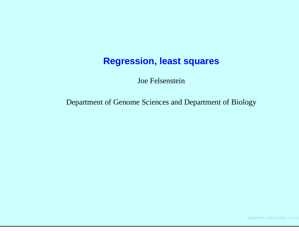### **Regression, least squares**

Joe Felsenstein

Department of Genome Sciences and Department of Biology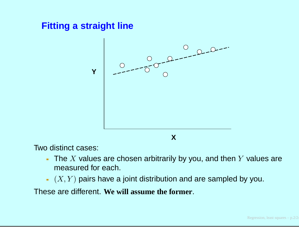## **Fitting <sup>a</sup> straight line**



Two distinct cases:

- The  $X$  values are chosen arbitrarily by you, and then  $Y$  values are measured for each measured for each.
- $\left( X,Y\right)$  pairs have a joint distribution and are sampled by you.

These are different. **We will assume the former**.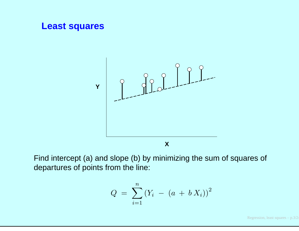

$$
Q = \sum_{i=1}^{n} (Y_i - (a + b X_i))^2
$$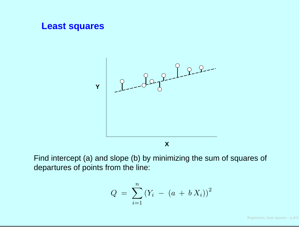

$$
Q = \sum_{i=1}^{n} (Y_i - (a + b X_i))^2
$$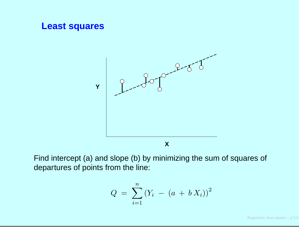

$$
Q = \sum_{i=1}^{n} (Y_i - (a + b X_i))^2
$$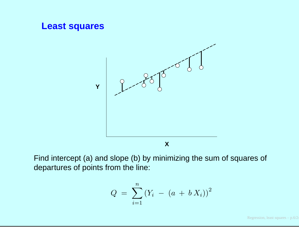

$$
Q = \sum_{i=1}^{n} (Y_i - (a + b X_i))^2
$$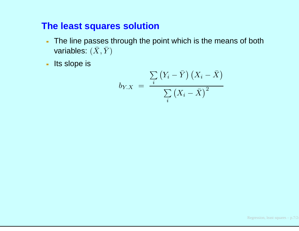### **The least squares solution**

- The line passes through the point which is the means of bothvariables:  $(\bar X, \bar Y)$
- Its slope is

$$
b_{Y.X} = \frac{\sum_{i} (Y_i - \bar{Y}) (X_i - \bar{X})}{\sum_{i} (X_i - \bar{X})^2}
$$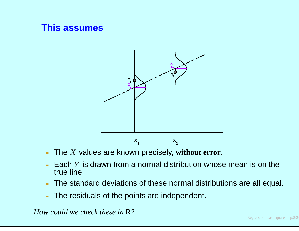## **This assumes**



- The <sup>X</sup> values are known precisely, **without error**.
- Each  $Y$  is drawn from a normal distribution whose mean is on the  $\mathsf{true}$ true line
- The standard deviations of these normal distributions are all equal.
- The residuals of the points are independent.

*How could we check these in* <sup>R</sup>*?*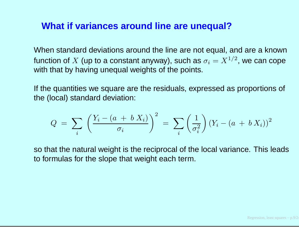### **What if variances around line are unequal?**

When standard deviations around the line are not equal, and are <sup>a</sup> knownfunction of  $X$  (up to a constant anyway), such as  $\sigma_i = X^{1/2}$ , we can cope<br>with that by hoving upoqual woights of the points  $\frac{1}{\sqrt{2}}$  $^2$ , we can cope with that by having unequal weights of the points.

If the quantities we square are the residuals, expressed as proportions of the (local) standard deviation:

$$
Q = \sum_{i} \left( \frac{Y_i - (a + b X_i)}{\sigma_i} \right)^2 = \sum_{i} \left( \frac{1}{\sigma_i^2} \right) (Y_i - (a + b X_i))^2
$$

so that the natural weight is the reciprocal of the local variance. This leadsto formulas for the slope that weight each term.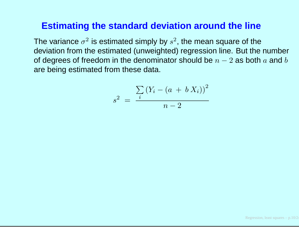### **Estimating the standard deviation around the line**

The variance  $\sigma^2$  is estimated simply by  $s^2$ , the mean square of the deviation from the estimated (unweighted) regression line. But the numberof degrees of freedom in the denominator should be  $n-2$  as both  $a$  and  $b$ are being estimated from these data.

$$
s^{2} = \frac{\sum_{i} (Y_{i} - (a + b X_{i}))^{2}}{n - 2}
$$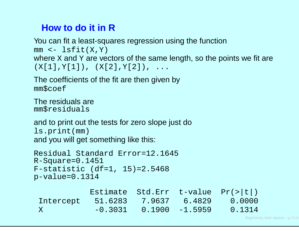# **How to do it in R**

 You can fit <sup>a</sup> least-squares regression using the function $mm$  <- lsfit(X,Y) where x and y are vectors of the same length, so the points we fit are  $(X[1], Y[1]), (X[2], Y[2]), \ldots$ 

The coefficients of the fit are then given bymm\$coef

The residuals aremm\$residuals

and to print out the tests for zero slope just dols.print(mm)and you will get something like this:

```
Residual Standard Error=12.1645
R-Square=0.1451
F-statistic (df=1, 15)=2.5468
p-value=0.1314
```

|           | Estimate Std.Err t-value $Pr(>\vert t \vert)$ |                              |                              |
|-----------|-----------------------------------------------|------------------------------|------------------------------|
| Intercept |                                               |                              | 51.6283 7.9637 6.4829 0.0000 |
| X         |                                               | $-0.3031$ $0.1900$ $-1.5959$ | 0.1314                       |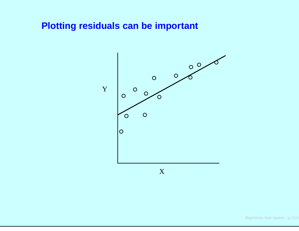### **Plotting residuals can be important**



X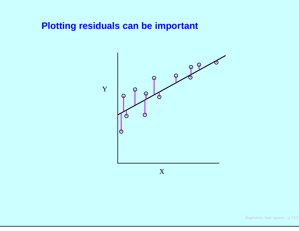### **Plotting residuals can be important**



X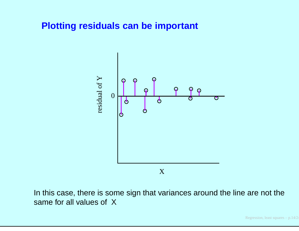#### **Plotting residuals can be important**



In this case, there is some sign that variances around the line are not thesame for all values of X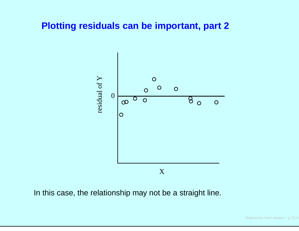### **Plotting residuals can be important, part 2**



In this case, the relationship may not be <sup>a</sup> straight line.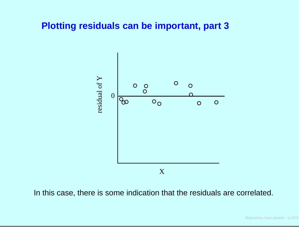#### **Plotting residuals can be important, part 3**



In this case, there is some indication that the residuals are correlated.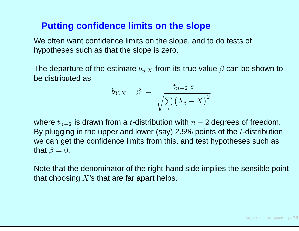### **Putting confidence limits on the slope**

We often want confidence limits on the slope, and to do tests of hypotheses such as that the slope is zero.

The departure of the estimate  $b_{y \ldotp X}$  from its true value  $\beta$  can be shown to<br>be distributed as be distributed as

$$
b_{Y.X} - \beta = \frac{t_{n-2} \, s}{\sqrt{\sum_{i} \left(X_i - \bar{X}\right)^2}}
$$

where  $t_{n-2}$ By plugging in the upper and lower (say) 2.5% points of the  $t$ -distribution  $_2$  is drawn from a  $t$ -distribution with  $n-2$  degrees of freedom. we can get the confidence limits from this, and test hypotheses such asthat  $\beta = 0$ .

Note that the denominator of the right-hand side implies the sensible point that choosing  $X$ 's that are far apart helps.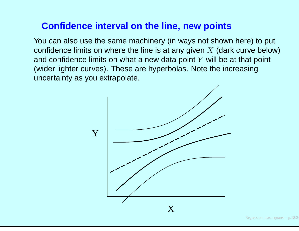## **Confidence interval on the line, new points**

You can also use the same machinery (in ways not shown here) to put confidence limits on where the line is at any given  $X$  (dark curve below)<br>and confidence limits on what a new data point  $V$  will be at that point and confidence limits on what a new data point  $Y$  will be at that point (wider lighter curves). These are hyperbolas. Note the increasinguncertainty as you extrapolate.

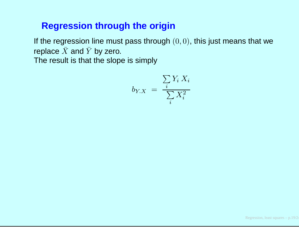## **Regression through the origin**

If the regression line must pass through  $(0,0),$  this just means that we replace  $\bar{X}$  and  $\bar{Y}$  by zero. The result is that the slope is simply

$$
b_{Y.X} = \frac{\sum_{i} Y_i X_i}{\sum_{i} X_i^2}
$$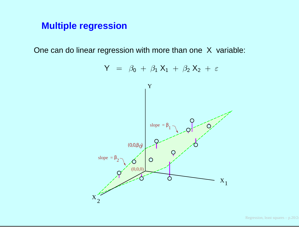# **Multiple regression**

One can do linear regression with more than one <sup>X</sup> variable:

$$
Y = \beta_0 + \beta_1 X_1 + \beta_2 X_2 + \varepsilon
$$
\n
$$
Y
$$
\n
$$
\left.\begin{array}{c}\nY \\
\text{slope} = \beta_1 \\
\text{slope} = \beta_2\n\end{array}\right\}
$$
\n
$$
Q
$$
\n
$$
Q
$$
\n
$$
Q
$$
\n
$$
Q
$$
\n
$$
Q
$$
\n
$$
Q
$$
\n
$$
Q
$$
\n
$$
Q
$$
\n
$$
Q
$$
\n
$$
Q
$$
\n
$$
Q
$$
\n
$$
Q
$$
\n
$$
X_1
$$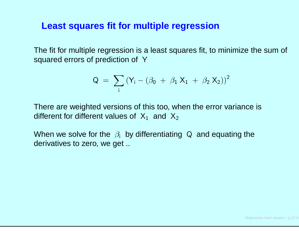#### **Least squares fit for multiple regression**

The fit for multiple regression is <sup>a</sup> least squares fit, to minimize the sum of squared errors of prediction of Y

$$
Q = \sum_{i} (Y_i - (\beta_0 + \beta_1 X_1 + \beta_2 X_2))^2
$$

There are weighted versions of this too, when the error variance isdifferent for different values of  $X_1$  and  $X_2$ 

When we solve for the  $\beta_i$  by differentiating Q and equating the<br>derivatives to zero, we get derivatives to zero, we get ..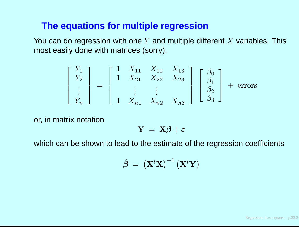### **The equations for multiple regression**

You can do regression with one  $Y$  and multiple different  $X$  variables. This mest easily deno with metriose (earn) most easily done with matrices (sorry).

$$
\begin{bmatrix} Y_1 \\ Y_2 \\ \vdots \\ Y_n \end{bmatrix} = \begin{bmatrix} 1 & X_{11} & X_{12} & X_{13} \\ 1 & X_{21} & X_{22} & X_{23} \\ \vdots & \vdots & \vdots \\ 1 & X_{n1} & X_{n2} & X_{n3} \end{bmatrix} \begin{bmatrix} \beta_0 \\ \beta_1 \\ \beta_2 \\ \beta_3 \end{bmatrix} + \text{errors}
$$

or, in matrix notation

$$
\mathbf{Y}~=~\mathbf{X}\boldsymbol{\beta}+\boldsymbol{\varepsilon}
$$

which can be shown to lead to the estimate of the regression coefficients

$$
\hat{\boldsymbol{\beta}}~=~\left(\mathbf{X}^t\mathbf{X}\right)^{-1}\left(\mathbf{X}^t\mathbf{Y}\right)
$$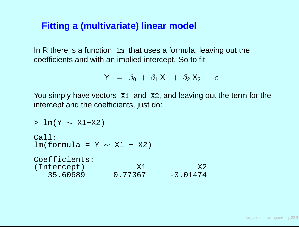## **Fitting <sup>a</sup> (multivariate) linear model**

In R there is <sup>a</sup> function lm that uses <sup>a</sup> formula, leaving out the coefficients and with an implied intercept. So to fit

$$
Y = \beta_0 + \beta_1 X_1 + \beta_2 X_2 + \varepsilon
$$

You simply have vectors X1 and X2, and leaving out the term for the intercept and the coefficients, just do:

```
> lm(Y
∼ X1+X2)
Call:lm(formula = Y \sim XI + X2)Coefficients:(Intercept) X1 X2
  35.60689 0.77367 -0.01474
```